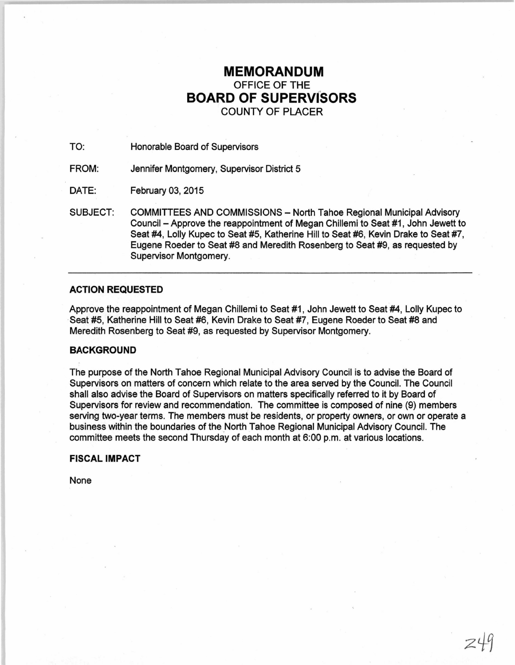# **MEMORANDUM**  OFFICE OF THE **BOARD OF SUPERVIsORS**  COUNTY OF PLACER

TO: Honorable Board of Supervisors

FROM: Jennifer Montgomery, Supervisor District 5

DATE: February 03, 2015

SUBJECT: COMMITTEES AND COMMISSIONS - North Tahoe Regional Municipal Advisory Council -Approve the reappointment of Megan Chillemi to Seat #1, John Jewett to Seat #4, Lolly Kupec to Seat #5, Katherine Hill to Seat #6, Kevin Drake to Seat #7, Eugene Roeder to Seat #8 and Meredith Rosenberg to Seat #9, as requested by Supervisor Montgomery.

# ACTION REQUESTED

Approve the reappointment of Megan Chillemi to Seat #1, John Jewett to Seat #4, Lolly Kupec to Seat #5, Katherine Hill to Seat #6, Kevin Drake to Seat #7, Eugene Roeder to Seat #8 and Meredith Rosenberg to Seat #9, as requested by Supervisor Montgomery.

# **BACKGROUND**

The purpose of the North Tahoe Regional Municipal Advisory Council is to advise the Board of Supervisors on matters of concern which relate to the area served by the Council. The Council shall also advise the Board of Supervisors on matters specifically referred to it by Board of Supervisors for review and recommendation. The committee is composed of nine (9) members serving two-year terms. The members must be residents, or property owners, or own or operate a business within the boundaries of the North Tahoe Regional Municipal Advisory Council. The committee meets the second Thursday of each month at 6:00 p.m. at various locations.

## FISCAL IMPACT

None